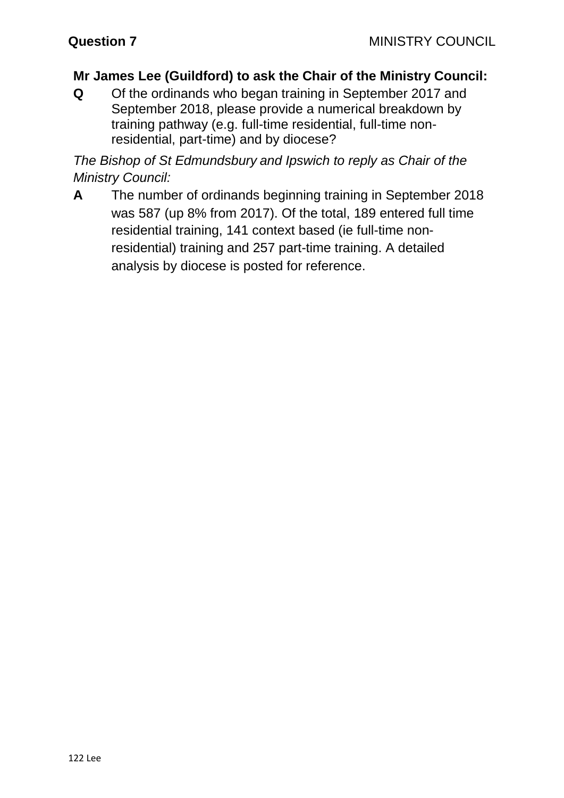## **Mr James Lee (Guildford) to ask the Chair of the Ministry Council:**

**Q** Of the ordinands who began training in September 2017 and September 2018, please provide a numerical breakdown by training pathway (e.g. full-time residential, full-time nonresidential, part-time) and by diocese?

*The Bishop of St Edmundsbury and Ipswich to reply as Chair of the Ministry Council:*

**A** The number of ordinands beginning training in September 2018 was 587 (up 8% from 2017). Of the total, 189 entered full time residential training, 141 context based (ie full-time nonresidential) training and 257 part-time training. A detailed analysis by diocese is posted for reference.